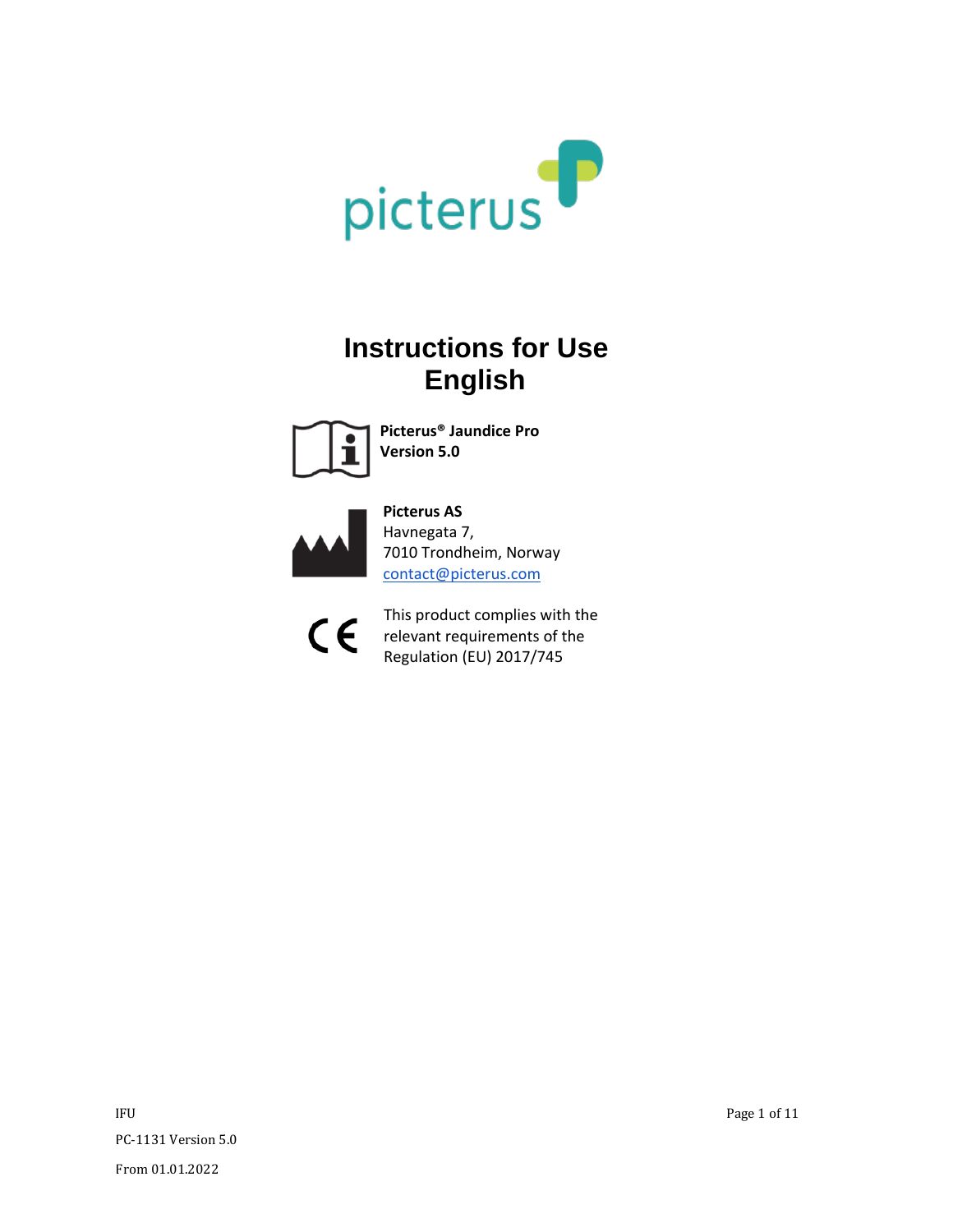

# **Instructions for Use English**



**Picterus® Jaundice Pro Version 5.0**



**Picterus AS** Havnegata 7, 7010 Trondheim, Norway contact@picterus.com



This product complies with the relevant requirements of the Regulation (EU) 2017/745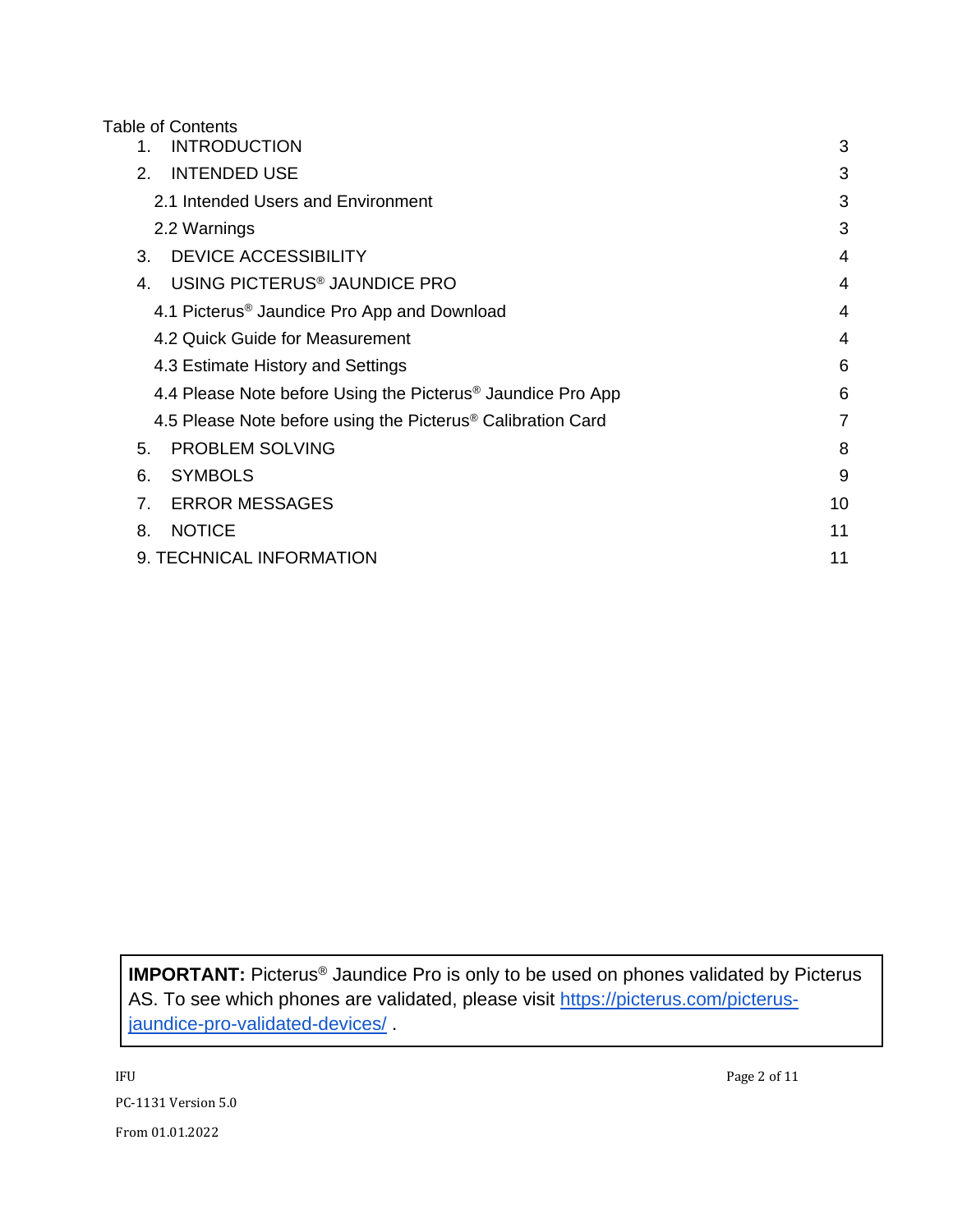#### Table of Contents

| <b>INTRODUCTION</b><br>1.                                               | 3  |
|-------------------------------------------------------------------------|----|
| <b>INTENDED USE</b><br>2.                                               | 3  |
| 2.1 Intended Users and Environment                                      | 3  |
| 2.2 Warnings                                                            | 3  |
| <b>DEVICE ACCESSIBILITY</b><br>3.                                       | 4  |
| USING PICTERUS <sup>®</sup> JAUNDICE PRO<br>4.                          | 4  |
| 4.1 Picterus <sup>®</sup> Jaundice Pro App and Download                 | 4  |
| 4.2 Quick Guide for Measurement                                         | 4  |
| 4.3 Estimate History and Settings                                       | 6  |
| 4.4 Please Note before Using the Picterus <sup>®</sup> Jaundice Pro App | 6  |
| 4.5 Please Note before using the Picterus <sup>®</sup> Calibration Card | 7  |
| <b>PROBLEM SOLVING</b><br>5.                                            | 8  |
| <b>SYMBOLS</b><br>6.                                                    | 9  |
| <b>ERROR MESSAGES</b><br>7.                                             | 10 |
| <b>NOTICE</b><br>8.                                                     | 11 |
| 9. TECHNICAL INFORMATION                                                | 11 |
|                                                                         |    |

**IMPORTANT:** Picterus® Jaundice Pro is only to be used on phones validated by Picterus AS. To see which phones are validated, please visit [https://picterus.com/picterus](https://picterus.com/picterus-jaundice-pro-validated-devices/)[jaundice-pro-validated-devices/](https://picterus.com/picterus-jaundice-pro-validated-devices/) .

IFU Page 2 of 11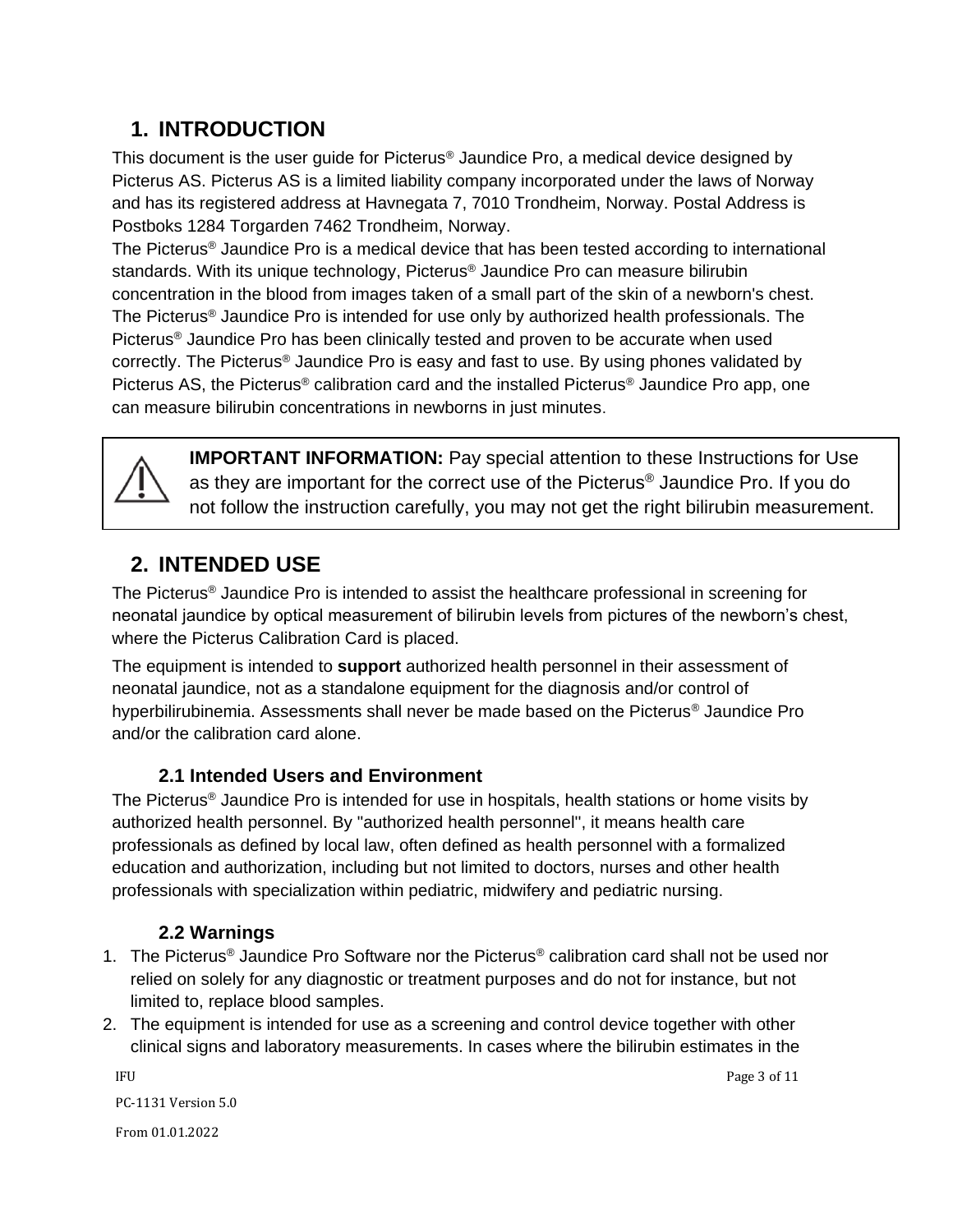## <span id="page-2-0"></span>**1. INTRODUCTION**

This document is the user guide for Picterus® Jaundice Pro, a medical device designed by Picterus AS. Picterus AS is a limited liability company incorporated under the laws of Norway and has its registered address at Havnegata 7, 7010 Trondheim, Norway. Postal Address is Postboks 1284 Torgarden 7462 Trondheim, Norway.

The Picterus® Jaundice Pro is a medical device that has been tested according to international standards. With its unique technology, Picterus® Jaundice Pro can measure bilirubin concentration in the blood from images taken of a small part of the skin of a newborn's chest. The Picterus® Jaundice Pro is intended for use only by authorized health professionals. The Picterus® Jaundice Pro has been clinically tested and proven to be accurate when used correctly. The Picterus<sup>®</sup> Jaundice Pro is easy and fast to use. By using phones validated by Picterus AS, the Picterus<sup>®</sup> calibration card and the installed Picterus<sup>®</sup> Jaundice Pro app, one can measure bilirubin concentrations in newborns in just minutes.



**IMPORTANT INFORMATION:** Pay special attention to these Instructions for Use as they are important for the correct use of the Picterus® Jaundice Pro. If you do not follow the instruction carefully, you may not get the right bilirubin measurement.

### <span id="page-2-1"></span>**2. INTENDED USE**

The Picterus® Jaundice Pro is intended to assist the healthcare professional in screening for neonatal jaundice by optical measurement of bilirubin levels from pictures of the newborn's chest, where the Picterus Calibration Card is placed.

The equipment is intended to **support** authorized health personnel in their assessment of neonatal jaundice, not as a standalone equipment for the diagnosis and/or control of hyperbilirubinemia. Assessments shall never be made based on the Picterus® Jaundice Pro and/or the calibration card alone.

#### **2.1 Intended Users and Environment**

<span id="page-2-2"></span>The Picterus® Jaundice Pro is intended for use in hospitals, health stations or home visits by authorized health personnel. By "authorized health personnel'', it means health care professionals as defined by local law, often defined as health personnel with a formalized education and authorization, including but not limited to doctors, nurses and other health professionals with specialization within pediatric, midwifery and pediatric nursing.

#### **2.2 Warnings**

- <span id="page-2-3"></span>1. The Picterus<sup>®</sup> Jaundice Pro Software nor the Picterus<sup>®</sup> calibration card shall not be used nor relied on solely for any diagnostic or treatment purposes and do not for instance, but not limited to, replace blood samples.
- 2. The equipment is intended for use as a screening and control device together with other clinical signs and laboratory measurements. In cases where the bilirubin estimates in the

 IFU Page 3 of 11 PC-1131 Version 5.0 From 01.01.2022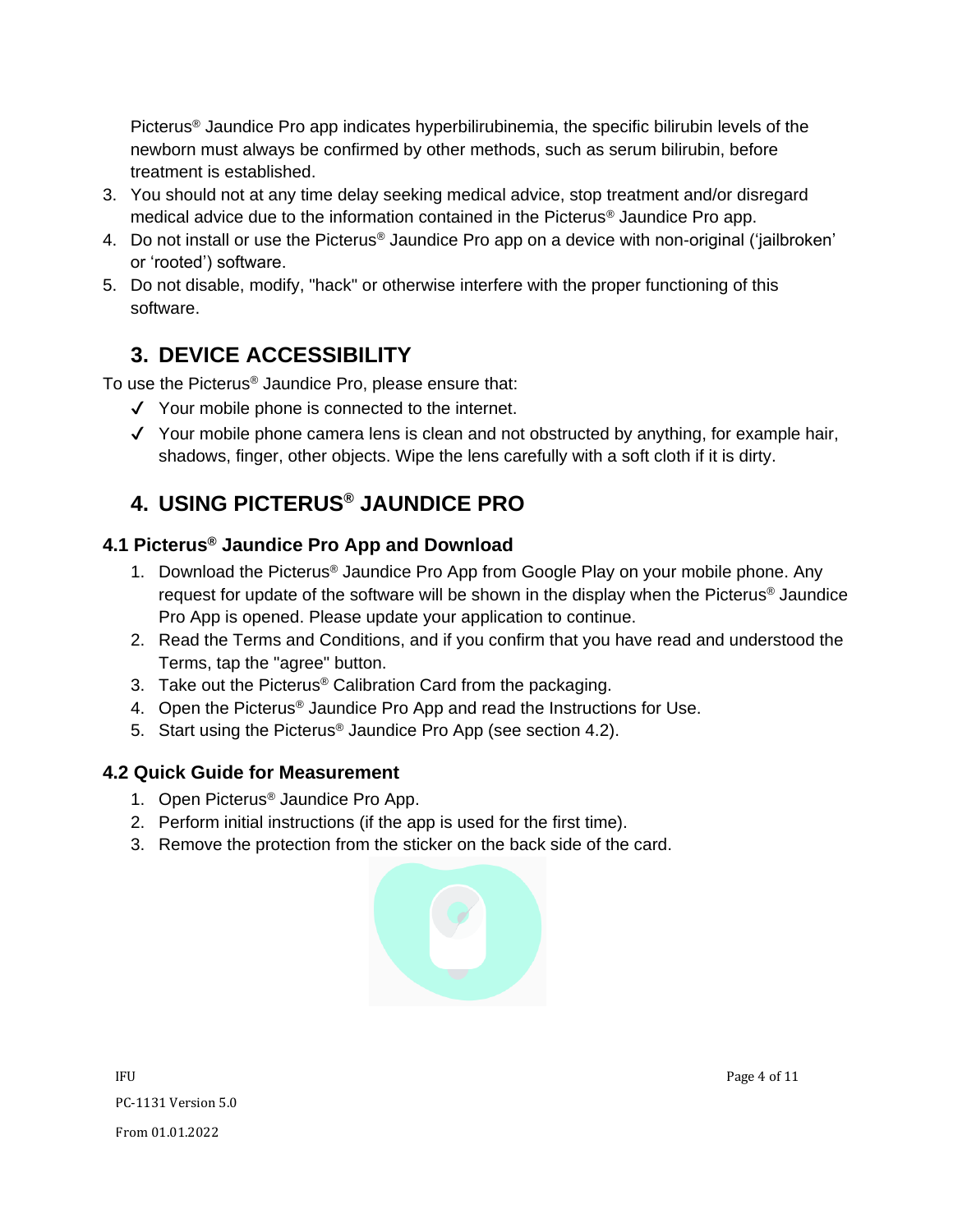Picterus® Jaundice Pro app indicates hyperbilirubinemia, the specific bilirubin levels of the newborn must always be confirmed by other methods, such as serum bilirubin, before treatment is established.

- 3. You should not at any time delay seeking medical advice, stop treatment and/or disregard medical advice due to the information contained in the Picterus® Jaundice Pro app.
- 4. Do not install or use the Picterus<sup>®</sup> Jaundice Pro app on a device with non-original ('jailbroken' or 'rooted') software.
- 5. Do not disable, modify, "hack" or otherwise interfere with the proper functioning of this software.

## <span id="page-3-0"></span>**3. DEVICE ACCESSIBILITY**

To use the Picterus® Jaundice Pro, please ensure that:

- ✔ Your mobile phone is connected to the internet.
- ✔ Your mobile phone camera lens is clean and not obstructed by anything, for example hair, shadows, finger, other objects. Wipe the lens carefully with a soft cloth if it is dirty.

# <span id="page-3-1"></span>**4. USING PICTERUS® JAUNDICE PRO**

#### <span id="page-3-2"></span>**4.1 Picterus® Jaundice Pro App and Download**

- 1. Download the Picterus® Jaundice Pro App from Google Play on your mobile phone. Any request for update of the software will be shown in the display when the Picterus® Jaundice Pro App is opened. Please update your application to continue.
- 2. Read the Terms and Conditions, and if you confirm that you have read and understood the Terms, tap the "agree" button.
- 3. Take out the Picterus® Calibration Card from the packaging.
- 4. Open the Picterus® Jaundice Pro App and read the Instructions for Use.
- 5. Start using the Picterus® Jaundice Pro App (see section 4.2).

#### <span id="page-3-3"></span>**4.2 Quick Guide for Measurement**

- 1. Open Picterus® Jaundice Pro App.
- 2. Perform initial instructions (if the app is used for the first time).
- 3. Remove the protection from the sticker on the back side of the card.

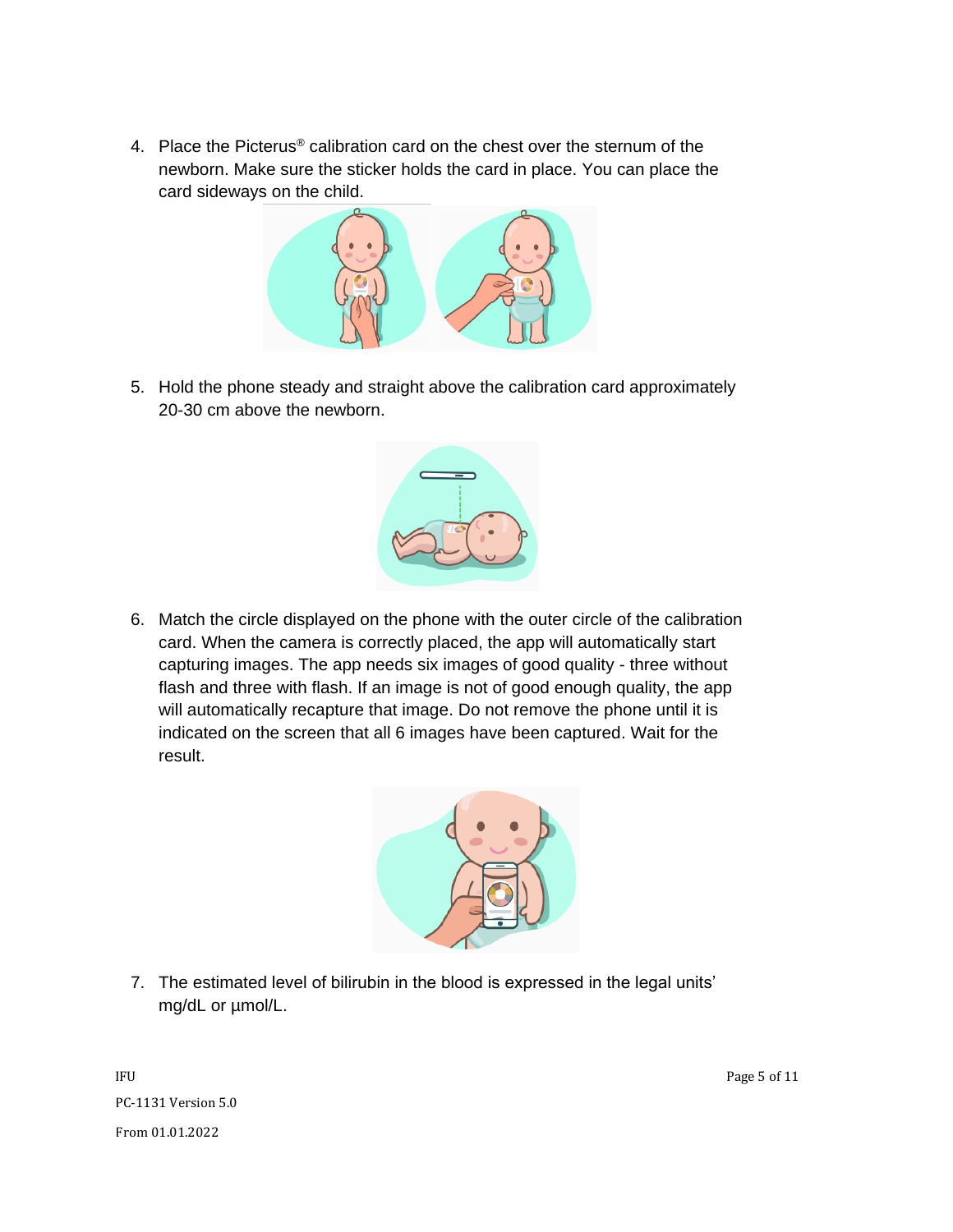4. Place the Picterus® calibration card on the chest over the sternum of the newborn. Make sure the sticker holds the card in place. You can place the card sideways on the child.



5. Hold the phone steady and straight above the calibration card approximately 20-30 cm above the newborn.



6. Match the circle displayed on the phone with the outer circle of the calibration card. When the camera is correctly placed, the app will automatically start capturing images. The app needs six images of good quality - three without flash and three with flash. If an image is not of good enough quality, the app will automatically recapture that image. Do not remove the phone until it is indicated on the screen that all 6 images have been captured. Wait for the result.



7. The estimated level of bilirubin in the blood is expressed in the legal units' mg/dL or µmol/L.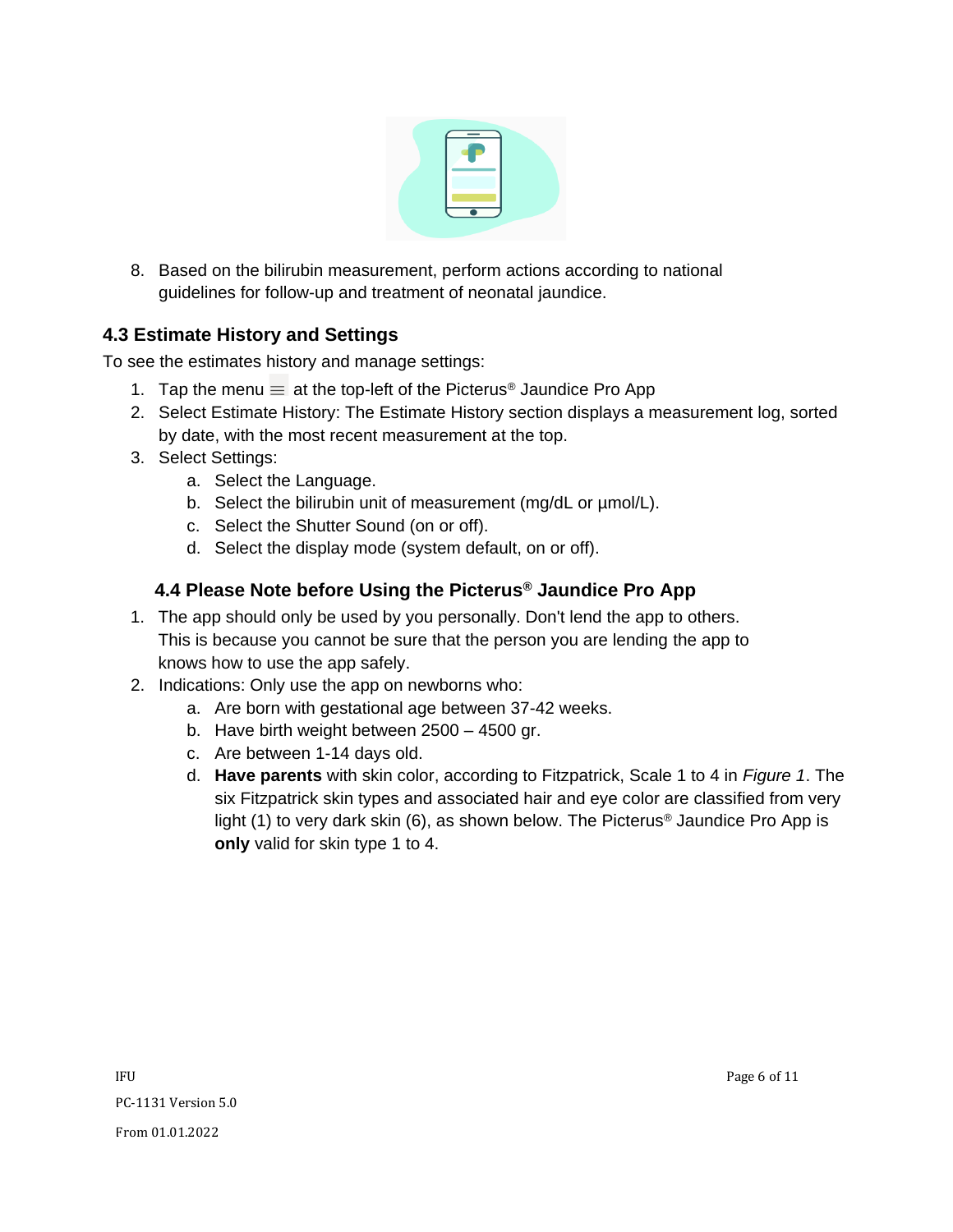

8. Based on the bilirubin measurement, perform actions according to national guidelines for follow-up and treatment of neonatal jaundice.

#### <span id="page-5-0"></span>**4.3 Estimate History and Settings**

To see the estimates history and manage settings:

- 1. Tap the menu  $\equiv$  at the top-left of the Picterus<sup>®</sup> Jaundice Pro App
- 2. Select Estimate History: The Estimate History section displays a measurement log, sorted by date, with the most recent measurement at the top.
- 3. Select Settings:
	- a. Select the Language.
	- b. Select the bilirubin unit of measurement (mg/dL or  $\mu$ mol/L).
	- c. Select the Shutter Sound (on or off).
	- d. Select the display mode (system default, on or off).

#### <span id="page-5-1"></span> **4.4 Please Note before Using the Picterus® Jaundice Pro App**

- 1. The app should only be used by you personally. Don't lend the app to others. This is because you cannot be sure that the person you are lending the app to knows how to use the app safely.
- 2. Indications: Only use the app on newborns who:
	- a. Are born with gestational age between 37-42 weeks.
	- b. Have birth weight between 2500 4500 gr.
	- c. Are between 1-14 days old.
	- d. **Have parents** with skin color, according to Fitzpatrick, Scale 1 to 4 in *Figure 1*. The six Fitzpatrick skin types and associated hair and eye color are classified from very light (1) to very dark skin (6), as shown below. The Picterus<sup>®</sup> Jaundice Pro App is **only** valid for skin type 1 to 4.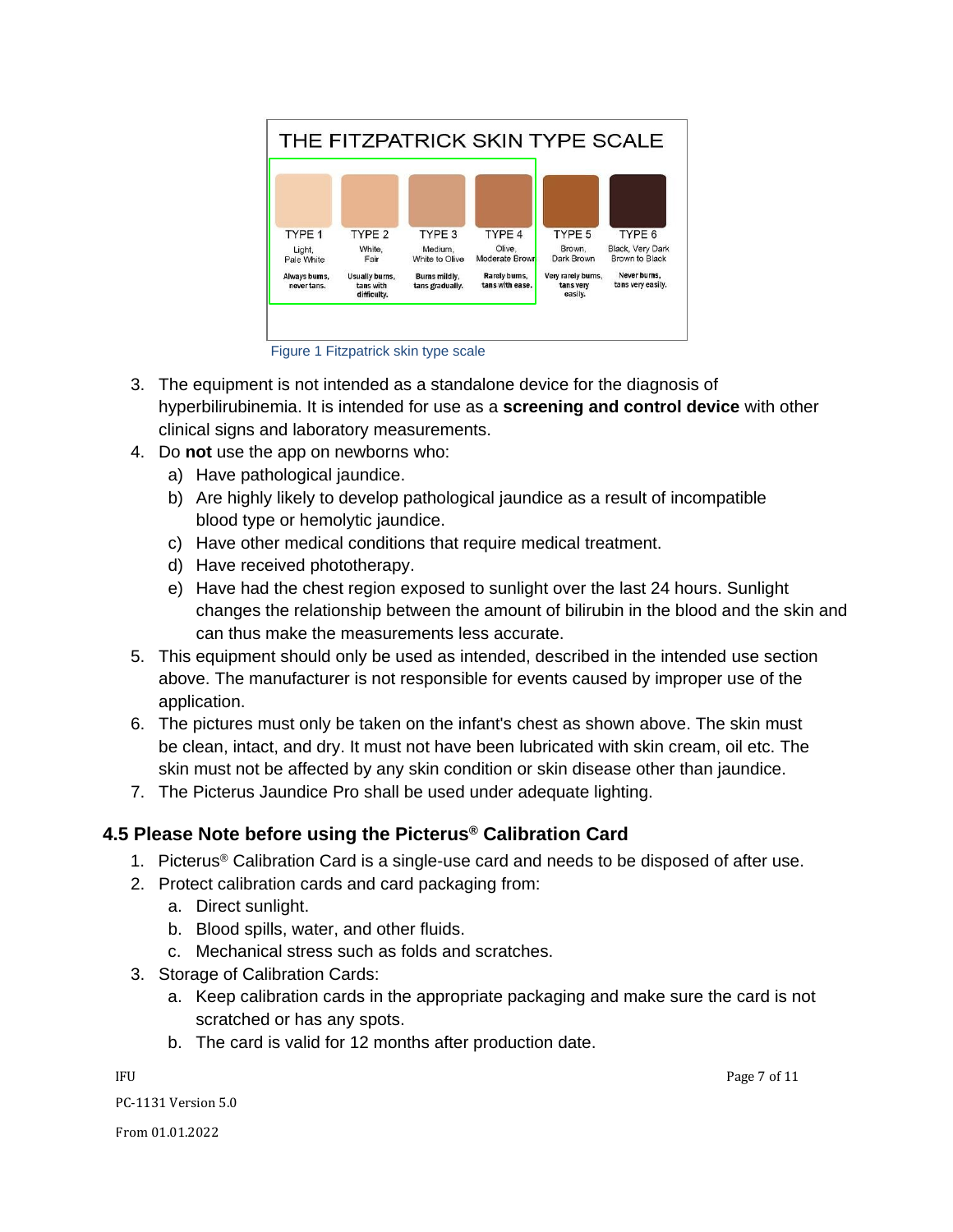

Figure 1 Fitzpatrick skin type scale

- 3. The equipment is not intended as a standalone device for the diagnosis of hyperbilirubinemia. It is intended for use as a **screening and control device** with other clinical signs and laboratory measurements.
- 4. Do **not** use the app on newborns who:
	- a) Have pathological jaundice.
	- b) Are highly likely to develop pathological jaundice as a result of incompatible blood type or hemolytic jaundice.
	- c) Have other medical conditions that require medical treatment.
	- d) Have received phototherapy.
	- e) Have had the chest region exposed to sunlight over the last 24 hours. Sunlight changes the relationship between the amount of bilirubin in the blood and the skin and can thus make the measurements less accurate.
- 5. This equipment should only be used as intended, described in the intended use section above. The manufacturer is not responsible for events caused by improper use of the application.
- 6. The pictures must only be taken on the infant's chest as shown above. The skin must be clean, intact, and dry. It must not have been lubricated with skin cream, oil etc. The skin must not be affected by any skin condition or skin disease other than jaundice.
- 7. The Picterus Jaundice Pro shall be used under adequate lighting.

#### <span id="page-6-0"></span>**4.5 Please Note before using the Picterus® Calibration Card**

- 1. Picterus® Calibration Card is a single-use card and needs to be disposed of after use.
- 2. Protect calibration cards and card packaging from:
	- a. Direct sunlight.
	- b. Blood spills, water, and other fluids.
	- c. Mechanical stress such as folds and scratches.
- 3. Storage of Calibration Cards:
	- a. Keep calibration cards in the appropriate packaging and make sure the card is not scratched or has any spots.
	- b. The card is valid for 12 months after production date.

IFU Page 7 of 11

PC-1131 Version 5.0

From 01.01.2022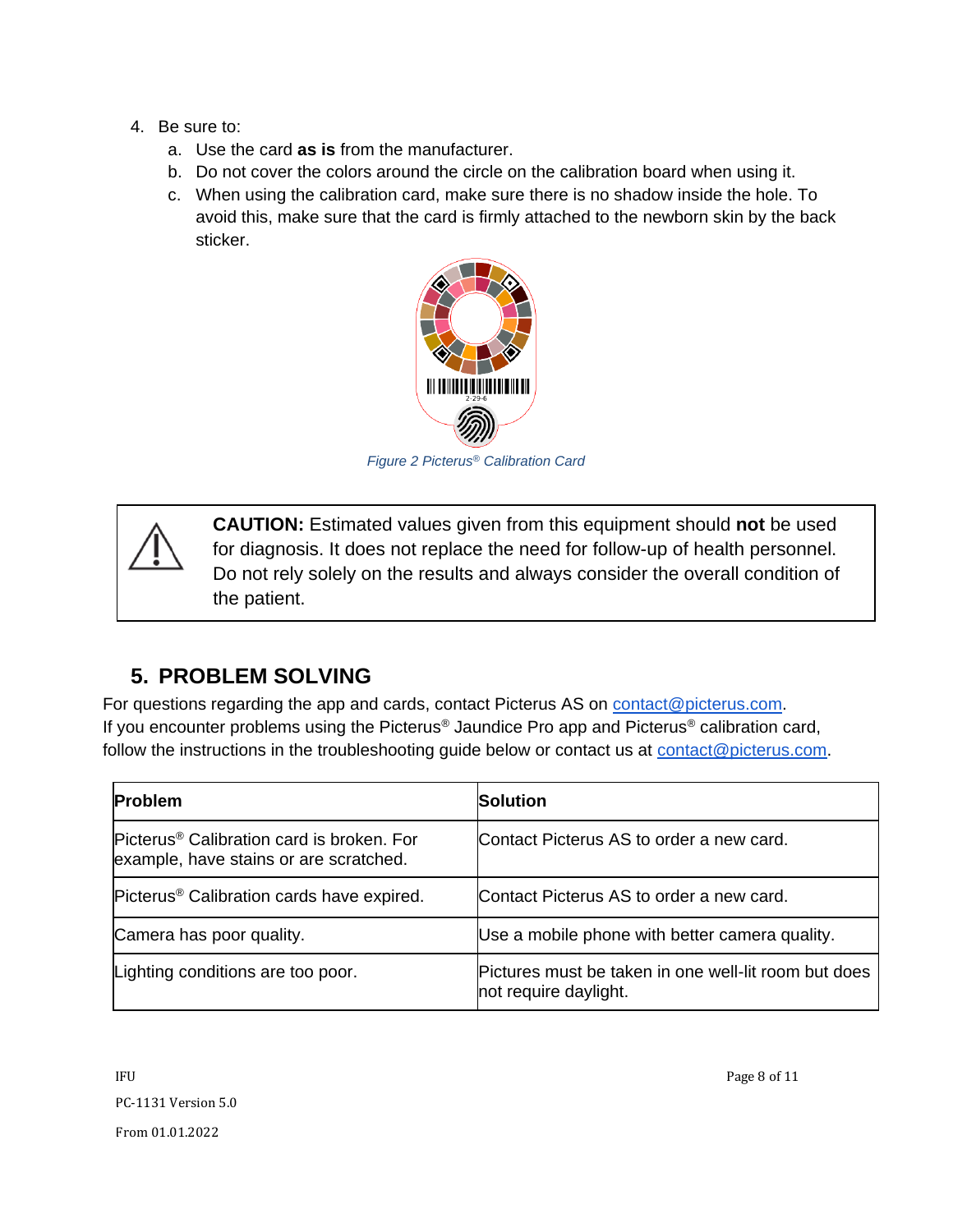- 4. Be sure to:
	- a. Use the card **as is** from the manufacturer.
	- b. Do not cover the colors around the circle on the calibration board when using it.
	- c. When using the calibration card, make sure there is no shadow inside the hole. To avoid this, make sure that the card is firmly attached to the newborn skin by the back sticker.



*Figure 2 Picterus® Calibration Card*

**CAUTION:** Estimated values given from this equipment should **not** be used for diagnosis. It does not replace the need for follow-up of health personnel. Do not rely solely on the results and always consider the overall condition of the patient.

### <span id="page-7-0"></span>**5. PROBLEM SOLVING**

For questions regarding the app and cards, contact Picterus AS on [contact@picterus.com.](mailto:contact@picterus.com) If you encounter problems using the Picterus® Jaundice Pro app and Picterus® calibration card, follow the instructions in the troubleshooting guide below or contact us at [contact@picterus.com.](mailto:contact@picterus.com)

| <b>Problem</b>                                                                                  | <b>Solution</b>                                                               |
|-------------------------------------------------------------------------------------------------|-------------------------------------------------------------------------------|
| Picterus <sup>®</sup> Calibration card is broken. For<br>example, have stains or are scratched. | Contact Picterus AS to order a new card.                                      |
| Picterus <sup>®</sup> Calibration cards have expired.                                           | Contact Picterus AS to order a new card.                                      |
| Camera has poor quality.                                                                        | Use a mobile phone with better camera quality.                                |
| Lighting conditions are too poor.                                                               | Pictures must be taken in one well-lit room but does<br>not require daylight. |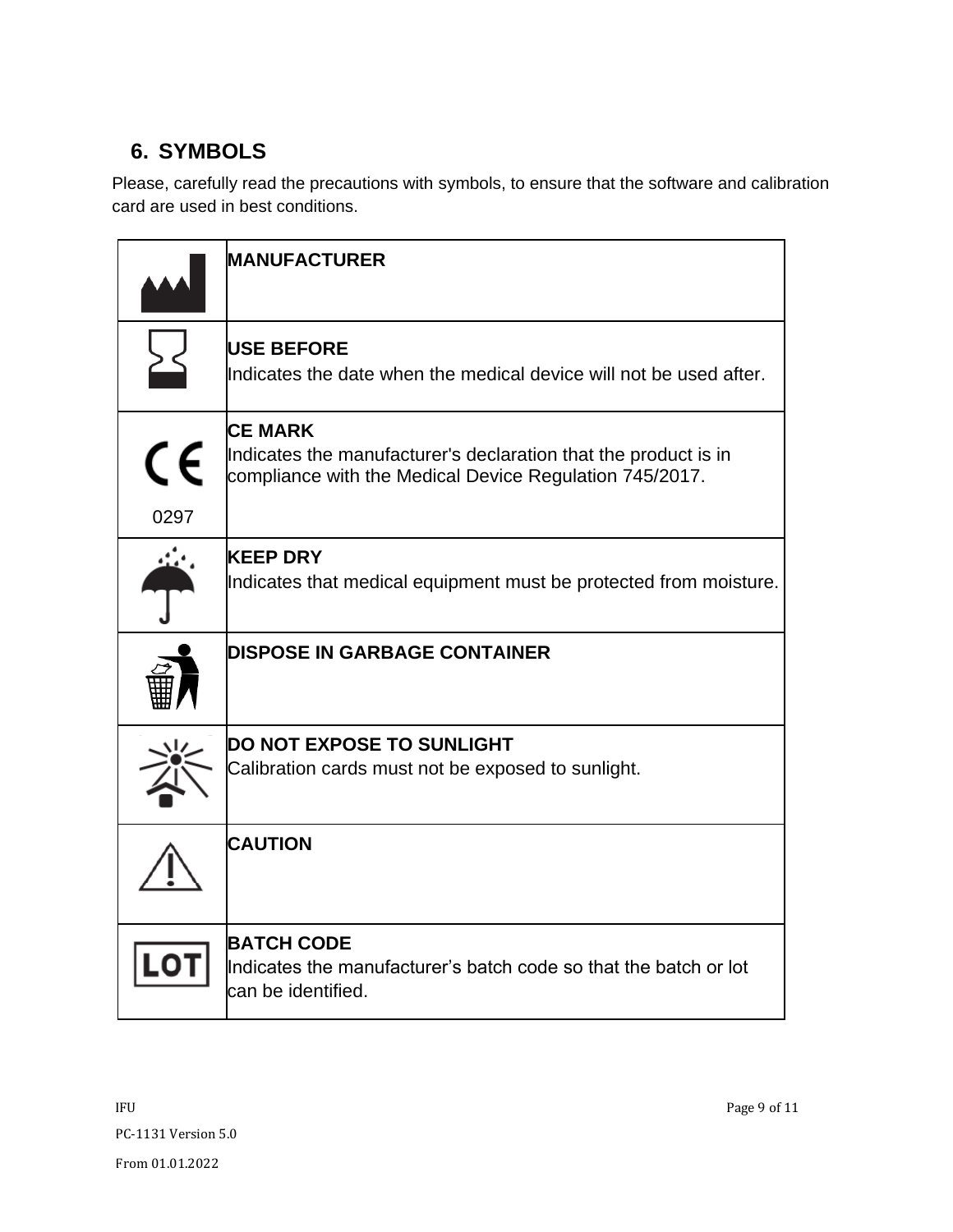# <span id="page-8-0"></span>**6. SYMBOLS**

Please, carefully read the precautions with symbols, to ensure that the software and calibration card are used in best conditions.

|            | <b>MANUFACTURER</b>                                                                                                                          |
|------------|----------------------------------------------------------------------------------------------------------------------------------------------|
|            | <b>USE BEFORE</b><br>Indicates the date when the medical device will not be used after.                                                      |
| CE<br>0297 | <b>CE MARK</b><br>Indicates the manufacturer's declaration that the product is in<br>compliance with the Medical Device Regulation 745/2017. |
|            | <b>KEEP DRY</b><br>Indicates that medical equipment must be protected from moisture.                                                         |
|            | <b>DISPOSE IN GARBAGE CONTAINER</b>                                                                                                          |
|            | <b>DO NOT EXPOSE TO SUNLIGHT</b><br>Calibration cards must not be exposed to sunlight.                                                       |
|            | <b>CAUTION</b>                                                                                                                               |
|            | <b>BATCH CODE</b><br>Indicates the manufacturer's batch code so that the batch or lot<br>can be identified.                                  |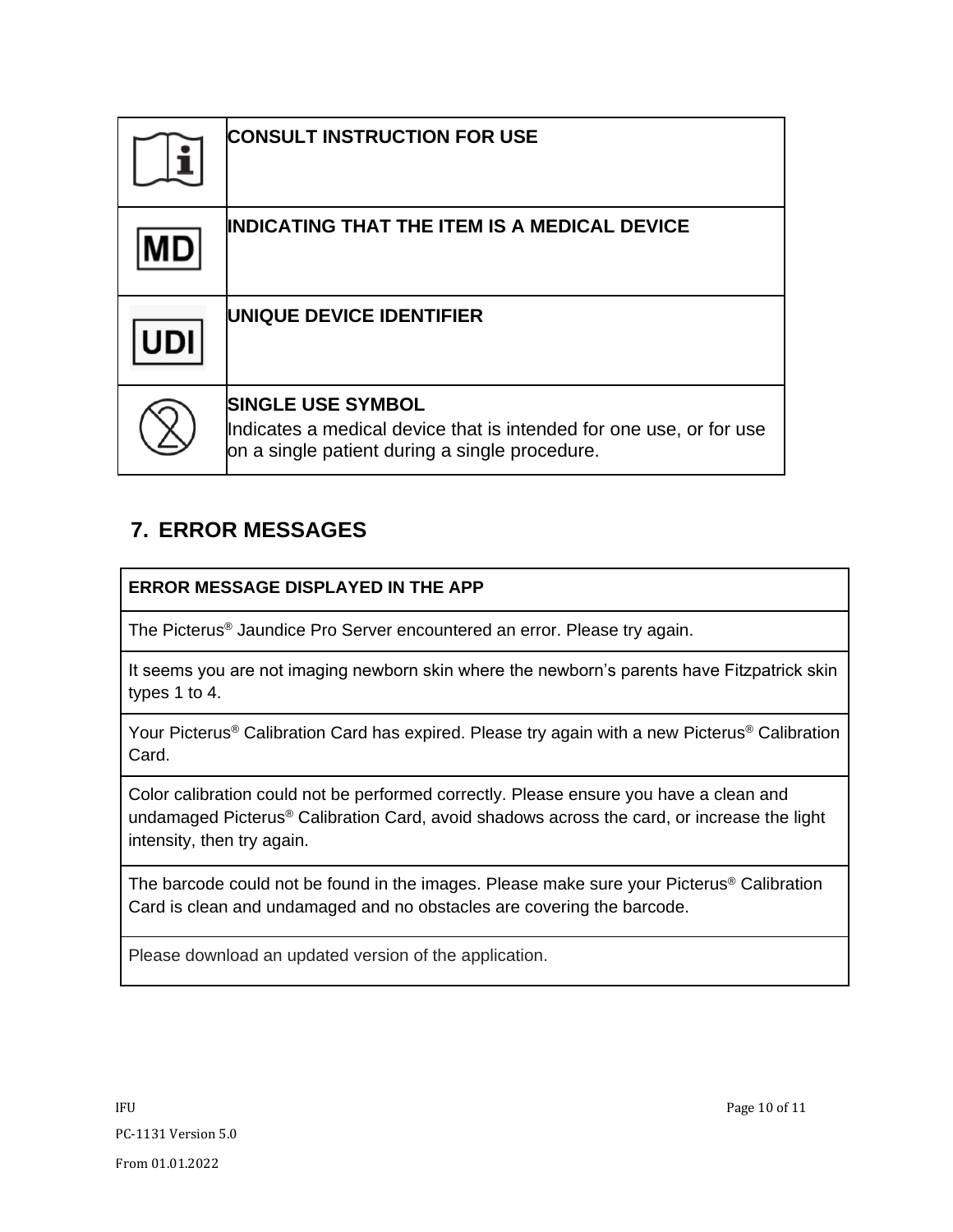| <b>CONSULT INSTRUCTION FOR USE</b>                                                                                                                |
|---------------------------------------------------------------------------------------------------------------------------------------------------|
| <b>INDICATING THAT THE ITEM IS A MEDICAL DEVICE</b>                                                                                               |
| UNIQUE DEVICE IDENTIFIER                                                                                                                          |
| <b>SINGLE USE SYMBOL</b><br>Indicates a medical device that is intended for one use, or for use<br>on a single patient during a single procedure. |

### <span id="page-9-0"></span>**7. ERROR MESSAGES**

#### **ERROR MESSAGE DISPLAYED IN THE APP**

The Picterus® Jaundice Pro Server encountered an error. Please try again.

It seems you are not imaging newborn skin where the newborn's parents have Fitzpatrick skin types 1 to 4.

Your Picterus<sup>®</sup> Calibration Card has expired. Please try again with a new Picterus<sup>®</sup> Calibration Card.

Color calibration could not be performed correctly. Please ensure you have a clean and undamaged Picterus® Calibration Card, avoid shadows across the card, or increase the light intensity, then try again.

The barcode could not be found in the images. Please make sure your Picterus® Calibration Card is clean and undamaged and no obstacles are covering the barcode.

Please download an updated version of the application.